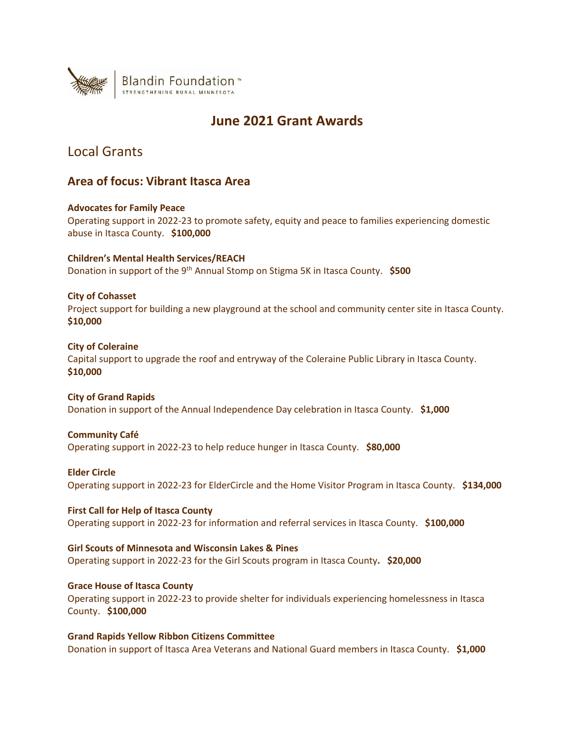

# **June 2021 Grant Awards**

# Local Grants

## **Area of focus: Vibrant Itasca Area**

## **Advocates for Family Peace**

Operating support in 2022-23 to promote safety, equity and peace to families experiencing domestic abuse in Itasca County. **\$100,000**

## **Children's Mental Health Services/REACH**

Donation in support of the 9th Annual Stomp on Stigma 5K in Itasca County. **\$500**

## **City of Cohasset**

Project support for building a new playground at the school and community center site in Itasca County. **\$10,000**

## **City of Coleraine**

Capital support to upgrade the roof and entryway of the Coleraine Public Library in Itasca County. **\$10,000**

## **City of Grand Rapids** Donation in support of the Annual Independence Day celebration in Itasca County. **\$1,000**

## **Community Café**

Operating support in 2022-23 to help reduce hunger in Itasca County. **\$80,000**

## **Elder Circle**

Operating support in 2022-23 for ElderCircle and the Home Visitor Program in Itasca County. **\$134,000**

**First Call for Help of Itasca County** Operating support in 2022-23 for information and referral services in Itasca County. **\$100,000**

## **Girl Scouts of Minnesota and Wisconsin Lakes & Pines** Operating support in 2022-23 for the Girl Scouts program in Itasca County**. \$20,000**

**Grace House of Itasca County** Operating support in 2022-23 to provide shelter for individuals experiencing homelessness in Itasca County. **\$100,000**

**Grand Rapids Yellow Ribbon Citizens Committee** Donation in support of Itasca Area Veterans and National Guard members in Itasca County. **\$1,000**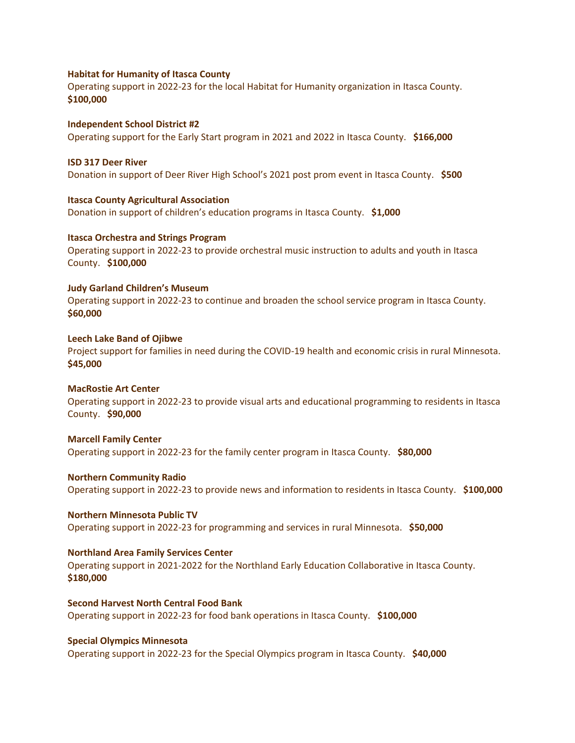### **Habitat for Humanity of Itasca County**

Operating support in 2022-23 for the local Habitat for Humanity organization in Itasca County. **\$100,000**

**Independent School District #2** Operating support for the Early Start program in 2021 and 2022 in Itasca County. **\$166,000**

### **ISD 317 Deer River**

Donation in support of Deer River High School's 2021 post prom event in Itasca County. **\$500**

**Itasca County Agricultural Association**

Donation in support of children's education programs in Itasca County. **\$1,000**

## **Itasca Orchestra and Strings Program**

Operating support in 2022-23 to provide orchestral music instruction to adults and youth in Itasca County. **\$100,000**

## **Judy Garland Children's Museum**

Operating support in 2022-23 to continue and broaden the school service program in Itasca County. **\$60,000**

#### **Leech Lake Band of Ojibwe**

Project support for families in need during the COVID-19 health and economic crisis in rural Minnesota. **\$45,000** 

#### **MacRostie Art Center**

Operating support in 2022-23 to provide visual arts and educational programming to residents in Itasca County. **\$90,000**

#### **Marcell Family Center**

Operating support in 2022-23 for the family center program in Itasca County. **\$80,000**

#### **Northern Community Radio**

Operating support in 2022-23 to provide news and information to residents in Itasca County. **\$100,000**

### **Northern Minnesota Public TV**

Operating support in 2022-23 for programming and services in rural Minnesota. **\$50,000**

### **Northland Area Family Services Center**

Operating support in 2021-2022 for the Northland Early Education Collaborative in Itasca County. **\$180,000**

**Second Harvest North Central Food Bank** Operating support in 2022-23 for food bank operations in Itasca County. **\$100,000**

### **Special Olympics Minnesota**

Operating support in 2022-23 for the Special Olympics program in Itasca County. **\$40,000**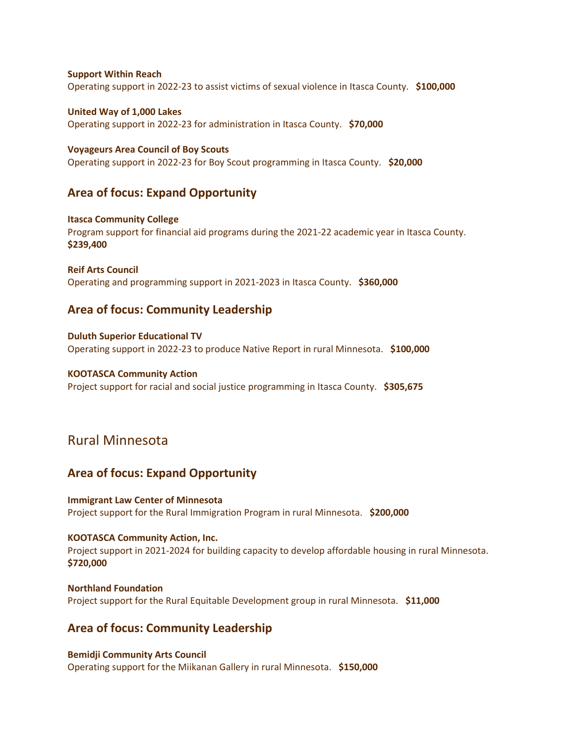**Support Within Reach** Operating support in 2022-23 to assist victims of sexual violence in Itasca County. **\$100,000**

**United Way of 1,000 Lakes** Operating support in 2022-23 for administration in Itasca County. **\$70,000**

**Voyageurs Area Council of Boy Scouts** Operating support in 2022-23 for Boy Scout programming in Itasca County. **\$20,000**

## **Area of focus: Expand Opportunity**

**Itasca Community College** Program support for financial aid programs during the 2021-22 academic year in Itasca County. **\$239,400**

**Reif Arts Council** Operating and programming support in 2021-2023 in Itasca County. **\$360,000**

## **Area of focus: Community Leadership**

**Duluth Superior Educational TV** Operating support in 2022-23 to produce Native Report in rural Minnesota. **\$100,000**

### **KOOTASCA Community Action**

Project support for racial and social justice programming in Itasca County. **\$305,675**

# Rural Minnesota

## **Area of focus: Expand Opportunity**

### **Immigrant Law Center of Minnesota**

Project support for the Rural Immigration Program in rural Minnesota. **\$200,000**

## **KOOTASCA Community Action, Inc.**

Project support in 2021-2024 for building capacity to develop affordable housing in rural Minnesota. **\$720,000**

**Northland Foundation** Project support for the Rural Equitable Development group in rural Minnesota. **\$11,000**

## **Area of focus: Community Leadership**

**Bemidji Community Arts Council**  Operating support for the Miikanan Gallery in rural Minnesota. **\$150,000**